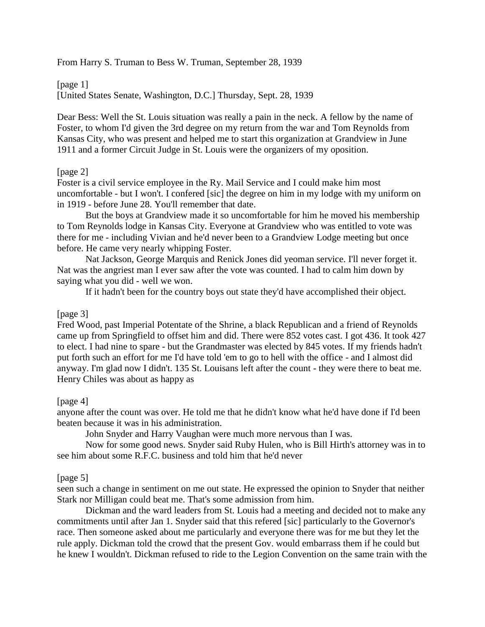From Harry S. Truman to Bess W. Truman, September 28, 1939

[page 1]

[United States Senate, Washington, D.C.] Thursday, Sept. 28, 1939

Dear Bess: Well the St. Louis situation was really a pain in the neck. A fellow by the name of Foster, to whom I'd given the 3rd degree on my return from the war and Tom Reynolds from Kansas City, who was present and helped me to start this organization at Grandview in June 1911 and a former Circuit Judge in St. Louis were the organizers of my oposition.

## [page 2]

Foster is a civil service employee in the Ry. Mail Service and I could make him most uncomfortable - but I won't. I confered [sic] the degree on him in my lodge with my uniform on in 1919 - before June 28. You'll remember that date.

But the boys at Grandview made it so uncomfortable for him he moved his membership to Tom Reynolds lodge in Kansas City. Everyone at Grandview who was entitled to vote was there for me - including Vivian and he'd never been to a Grandview Lodge meeting but once before. He came very nearly whipping Foster.

Nat Jackson, George Marquis and Renick Jones did yeoman service. I'll never forget it. Nat was the angriest man I ever saw after the vote was counted. I had to calm him down by saying what you did - well we won.

If it hadn't been for the country boys out state they'd have accomplished their object.

## [page 3]

Fred Wood, past Imperial Potentate of the Shrine, a black Republican and a friend of Reynolds came up from Springfield to offset him and did. There were 852 votes cast. I got 436. It took 427 to elect. I had nine to spare - but the Grandmaster was elected by 845 votes. If my friends hadn't put forth such an effort for me I'd have told 'em to go to hell with the office - and I almost did anyway. I'm glad now I didn't. 135 St. Louisans left after the count - they were there to beat me. Henry Chiles was about as happy as

## [page 4]

anyone after the count was over. He told me that he didn't know what he'd have done if I'd been beaten because it was in his administration.

John Snyder and Harry Vaughan were much more nervous than I was.

Now for some good news. Snyder said Ruby Hulen, who is Bill Hirth's attorney was in to see him about some R.F.C. business and told him that he'd never

## [page 5]

seen such a change in sentiment on me out state. He expressed the opinion to Snyder that neither Stark nor Milligan could beat me. That's some admission from him.

Dickman and the ward leaders from St. Louis had a meeting and decided not to make any commitments until after Jan 1. Snyder said that this refered [sic] particularly to the Governor's race. Then someone asked about me particularly and everyone there was for me but they let the rule apply. Dickman told the crowd that the present Gov. would embarrass them if he could but he knew I wouldn't. Dickman refused to ride to the Legion Convention on the same train with the